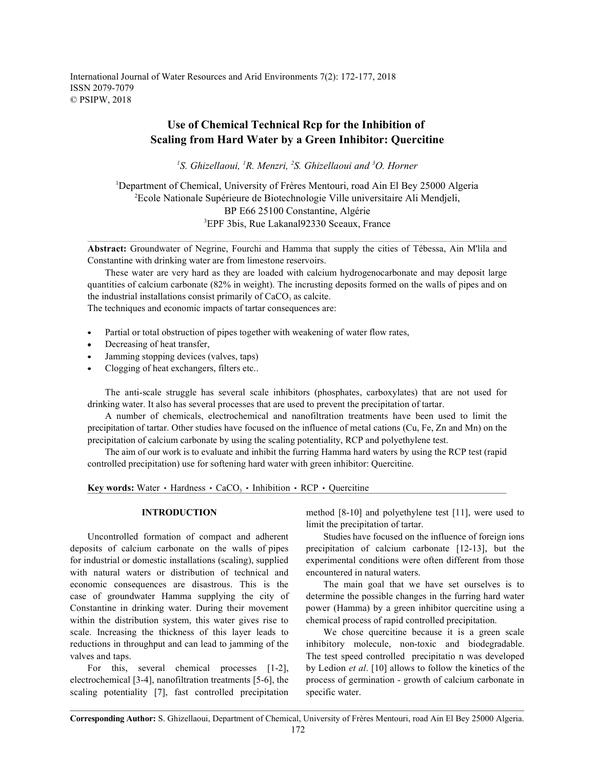International Journal of Water Resources and Arid Environments 7(2): 172-177, 2018 ISSN 2079-7079 © PSIPW, 2018

# **Use of Chemical Technical Rcp for the Inhibition of Scaling from Hard Water by a Green Inhibitor: Quercitine**

<sup>1</sup>S. Ghizellaoui, <sup>1</sup>R. Menzri, <sup>2</sup>S. Ghizellaoui and <sup>3</sup>O. Horner

<sup>1</sup>Department of Chemical, University of Frères Mentouri, road Ain El Bey 25000 Algeria <sup>2</sup>Ecole Nationale Supérieure de Biotechnologie Ville universitaire Ali Mendjeli, BP E66 25100 Constantine, Algérie <sup>3</sup>EPF 3bis, Rue Lakanal92330 Sceaux, France

**Abstract:** Groundwater of Negrine, Fourchi and Hamma that supply the cities of Tébessa, Ain M'lila and Constantine with drinking water are from limestone reservoirs.

These water are very hard as they are loaded with calcium hydrogenocarbonate and may deposit large quantities of calcium carbonate (82% in weight). The incrusting deposits formed on the walls of pipes and on the industrial installations consist primarily of  $CaCO<sub>3</sub>$  as calcite.

The techniques and economic impacts of tartar consequences are:

- Partial or total obstruction of pipes together with weakening of water flow rates,
- Decreasing of heat transfer,
- Jamming stopping devices (valves, taps)
- Clogging of heat exchangers, filters etc..

The anti-scale struggle has several scale inhibitors (phosphates, carboxylates) that are not used for drinking water. It also has several processes that are used to prevent the precipitation of tartar.

A number of chemicals, electrochemical and nanofiltration treatments have been used to limit the precipitation of tartar. Other studies have focused on the influence of metal cations (Cu, Fe, Zn and Mn) on the precipitation of calcium carbonate by using the scaling potentiality, RCP and polyethylene test.

The aim of our work is to evaluate and inhibit the furring Hamma hard waters by using the RCP test (rapid controlled precipitation) use for softening hard water with green inhibitor: Quercitine.

**Key words:** Water  $\cdot$  Hardness  $\cdot$  CaCO<sub>3</sub>  $\cdot$  Inhibition  $\cdot$  RCP  $\cdot$  Quercitine

deposits of calcium carbonate on the walls of pipes precipitation of calcium carbonate [12-13], but the for industrial or domestic installations (scaling), supplied experimental conditions were often different from those with natural waters or distribution of technical and encountered in natural waters. economic consequences are disastrous. This is the The main goal that we have set ourselves is to case of groundwater Hamma supplying the city of determine the possible changes in the furring hard water Constantine in drinking water. During their movement power (Hamma) by a green inhibitor quercitine using a within the distribution system, this water gives rise to chemical process of rapid controlled precipitation. scale. Increasing the thickness of this layer leads to We chose quercitine because it is a green scale reductions in throughput and can lead to jamming of the inhibitory molecule, non-toxic and biodegradable. valves and taps. The test speed controlled precipitation was developed

electrochemical [3-4], nanofiltration treatments [5-6], the process of germination - growth of calcium carbonate in scaling potentiality [7], fast controlled precipitation specific water.

**INTRODUCTION** method [8-10] and polyethylene test [11], were used to limit the precipitation of tartar.

Uncontrolled formation of compact and adherent Studies have focused on the influence of foreign ions

For this, several chemical processes [1-2], by Ledion *et al*. [10] allows to follow the kinetics of the

**Corresponding Author:** S. Ghizellaoui, Department of Chemical, University of Frères Mentouri, road Ain El Bey 25000 Algeria.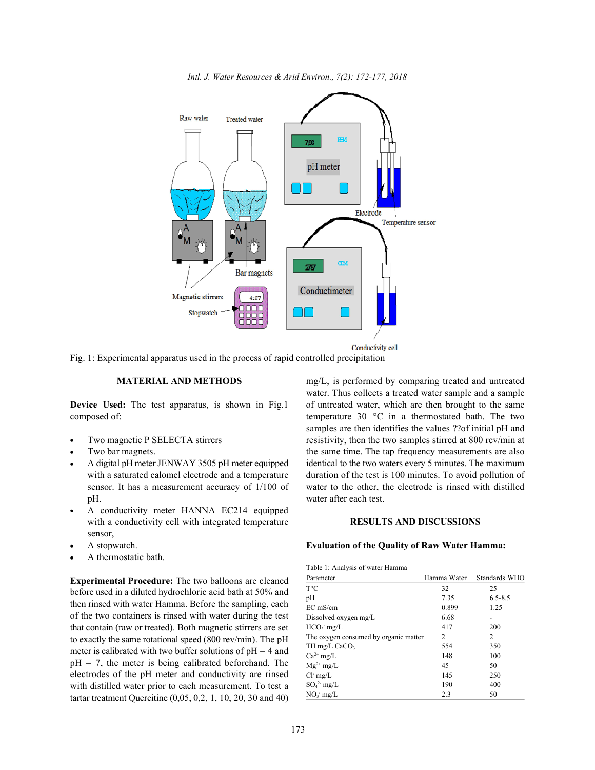



Conductivity cell

Fig. 1: Experimental apparatus used in the process of rapid controlled precipitation

- 
- 
- pH. water after each test.
- A conductivity meter HANNA EC214 equipped with a conductivity cell with integrated temperature **RESULTS AND DISCUSSIONS** sensor,
- 
- A thermostatic bath.

**Experimental Procedure:** The two balloons are cleaned before used in a diluted hydrochloric acid bath at 50% and then rinsed with water Hamma. Before the sampling, each of the two containers is rinsed with water during the test that contain (raw or treated). Both magnetic stirrers are set to exactly the same rotational speed (800 rev/min). The pH meter is calibrated with two buffer solutions of  $pH = 4$  and  $pH = 7$ , the meter is being calibrated beforehand. The electrodes of the pH meter and conductivity are rinsed with distilled water prior to each measurement. To test a tartar treatment Quercitine (0,05, 0,2, 1, 10, 20, 30 and 40)

**MATERIAL AND METHODS** mg/L, is performed by comparing treated and untreated **Device Used:** The test apparatus, is shown in Fig.1 of untreated water, which are then brought to the same composed of: temperature 30 °C in a thermostated bath. The two Two magnetic P SELECTA stirrers resistivity, then the two samples stirred at 800 rev/min at Two bar magnets. The same time. The tap frequency measurements are also A digital pH meter JENWAY 3505 pH meter equipped identical to the two waters every 5 minutes. The maximum with a saturated calomel electrode and a temperature duration of the test is 100 minutes. To avoid pollution of sensor. It has a measurement accuracy of 1/100 of water to the other, the electrode is rinsed with distilled water. Thus collects a treated water sample and a sample samples are then identifies the values ??of initial pH and

# A stopwatch. **Evaluation of the Quality of Raw Water Hamma:**

| Table 1. Allalysis of water Hallinia       |               |  |
|--------------------------------------------|---------------|--|
| Hamma Water                                | Standards WHO |  |
| 32                                         | 25            |  |
| 7.35                                       | $6.5 - 8.5$   |  |
| 0.899                                      | 1.25          |  |
| 6.68                                       |               |  |
| 417                                        | 200           |  |
| The oxygen consumed by organic matter<br>2 | 2             |  |
| 554                                        | 350           |  |
| 148                                        | 100           |  |
| 45                                         | 50            |  |
| 145                                        | 250           |  |
| 190                                        | 400           |  |
| 2.3                                        | 50            |  |
|                                            |               |  |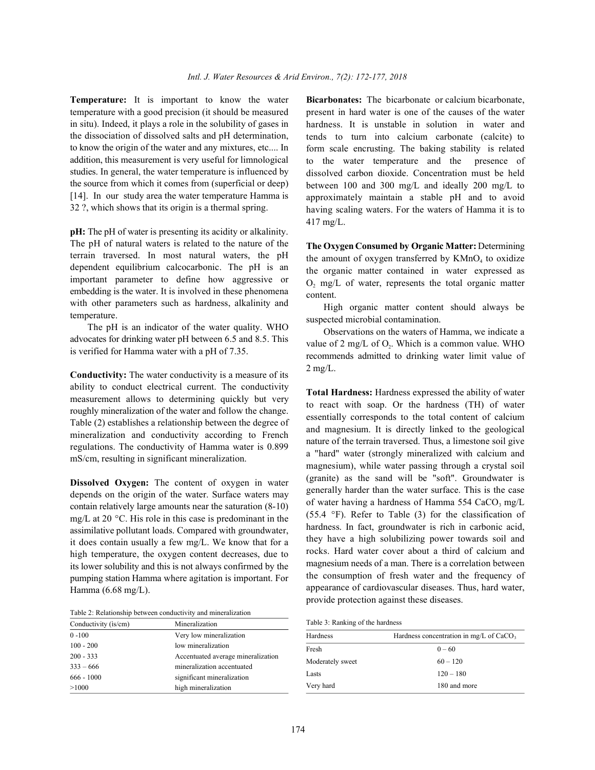**Temperature:** It is important to know the water **Bicarbonates:** The bicarbonate or calcium bicarbonate, temperature with a good precision (it should be measured in situ). Indeed, it plays a role in the solubility of gases in the dissociation of dissolved salts and pH determination, to know the origin of the water and any mixtures, etc.... In addition, this measurement is very useful for limnological studies. In general, the water temperature is influenced by the source from which it comes from (superficial or deep) [14]. In our study area the water temperature Hamma is 32 ?, which shows that its origin is a thermal spring.

**pH:** The pH of water is presenting its acidity or alkalinity. The pH of natural waters is related to the nature of the terrain traversed. In most natural waters, the pH dependent equilibrium calcocarbonic. The pH is an important parameter to define how aggressive or embedding is the water. It is involved in these phenomena with other parameters such as hardness, alkalinity and temperature.

The pH is an indicator of the water quality. WHO advocates for drinking water pH between 6.5 and 8.5. This is verified for Hamma water with a pH of 7.35.

**Conductivity:** The water conductivity is a measure of its ability to conduct electrical current. The conductivity measurement allows to determining quickly but very roughly mineralization of the water and follow the change. Table (2) establishes a relationship between the degree of mineralization and conductivity according to French regulations. The conductivity of Hamma water is 0.899 mS/cm, resulting in significant mineralization.

**Dissolved Oxygen:** The content of oxygen in water depends on the origin of the water. Surface waters may contain relatively large amounts near the saturation (8-10) mg/L at 20 $\degree$ C. His role in this case is predominant in the assimilative pollutant loads. Compared with groundwater, it does contain usually a few mg/L. We know that for a high temperature, the oxygen content decreases, due to its lower solubility and this is not always confirmed by the pumping station Hamma where agitation is important. For Hamma (6.68 mg/L).

Table 2: Relationship between conductivity and mineralization

| Mineralization                     |
|------------------------------------|
| Very low mineralization            |
| low mineralization                 |
| Accentuated average mineralization |
| mineralization accentuated         |
| significant mineralization         |
| high mineralization                |
|                                    |

present in hard water is one of the causes of the water hardness. It is unstable in solution in water and tends to turn into calcium carbonate (calcite) to form scale encrusting. The baking stability is related to the water temperature and the presence of dissolved carbon dioxide. Concentration must be held between 100 and 300 mg/L and ideally 200 mg/L to approximately maintain a stable pH and to avoid having scaling waters. For the waters of Hamma it is to 417 mg/L.

**The Oxygen Consumed by Organic Matter:** Determining the amount of oxygen transferred by  $KMnO<sub>4</sub>$  to oxidize the organic matter contained in water expressed as  $O_2$  mg/L of water, represents the total organic matter content.

High organic matter content should always be suspected microbial contamination.

Observations on the waters of Hamma, we indicate a value of 2 mg/L of  $O<sub>2</sub>$ . Which is a common value. WHO recommends admitted to drinking water limit value of 2 mg/L.

**Total Hardness:** Hardness expressed the ability of water to react with soap. Or the hardness (TH) of water essentially corresponds to the total content of calcium and magnesium. It is directly linked to the geological nature of the terrain traversed. Thus, a limestone soil give a "hard" water (strongly mineralized with calcium and magnesium), while water passing through a crystal soil (granite) as the sand will be "soft". Groundwater is generally harder than the water surface. This is the case of water having a hardness of Hamma 554 CaCO, mg/L (55.4  $\degree$ F). Refer to Table (3) for the classification of hardness. In fact, groundwater is rich in carbonic acid, they have a high solubilizing power towards soil and rocks. Hard water cover about a third of calcium and magnesium needs of a man. There is a correlation between the consumption of fresh water and the frequency of appearance of cardiovascular diseases. Thus, hard water, provide protection against these diseases.

Table 3: Ranking of the hardness

| Hardness         | Hardness concentration in mg/L of $CaCO3$ |  |
|------------------|-------------------------------------------|--|
| Fresh            | $0 - 60$                                  |  |
| Moderately sweet | $60 - 120$                                |  |
| Lasts            | $120 - 180$                               |  |
| Very hard        | 180 and more                              |  |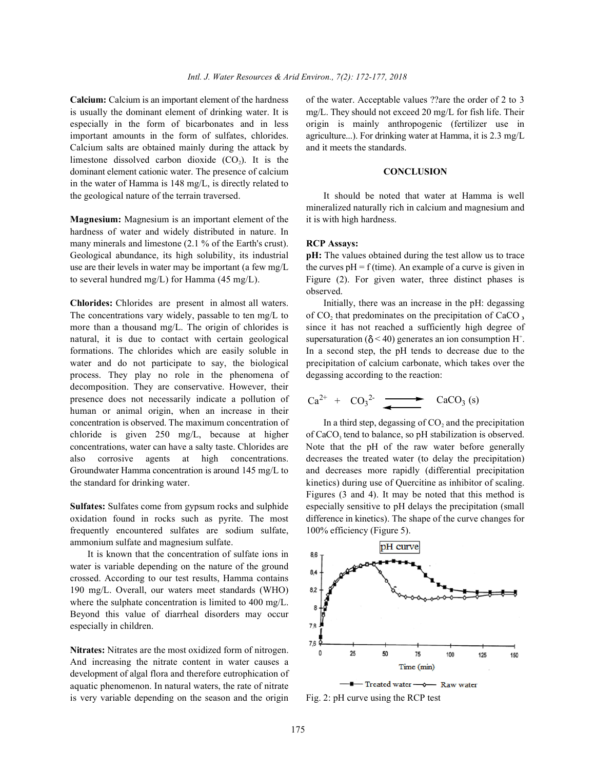**Calcium:** Calcium is an important element of the hardness of the water. Acceptable values ??are the order of 2 to 3 is usually the dominant element of drinking water. It is mg/L. They should not exceed 20 mg/L for fish life. Their especially in the form of bicarbonates and in less origin is mainly anthropogenic (fertilizer use in important amounts in the form of sulfates, chlorides. agriculture...). For drinking water at Hamma, it is 2.3 mg/L Calcium salts are obtained mainly during the attack by and it meets the standards. limestone dissolved carbon dioxide  $(CO<sub>2</sub>)$ . It is the dominant element cationic water. The presence of calcium **CONCLUSION** in the water of Hamma is 148 mg/L, is directly related to the geological nature of the terrain traversed. It should be noted that water at Hamma is well

**Magnesium:** Magnesium is an important element of the it is with high hardness. hardness of water and widely distributed in nature. In many minerals and limestone (2.1 % of the Earth's crust). **RCP Assays:**  Geological abundance, its high solubility, its industrial **pH:** The values obtained during the test allow us to trace

The concentrations vary widely, passable to ten mg/L to more than a thousand mg/L. The origin of chlorides is since it has not reached a sufficiently high degree of natural, it is due to contact with certain geological supersaturation ( $\delta$  < 40) generates an ion consumption H<sup>+</sup>. formations. The chlorides which are easily soluble in In a second step, the pH tends to decrease due to the water and do not participate to say, the biological precipitation of calcium carbonate, which takes over the process. They play no role in the phenomena of degassing according to the reaction: decomposition. They are conservative. However, their presence does not necessarily indicate a pollution of human or animal origin, when an increase in their concentration is observed. The maximum concentration of chloride is given  $250 \text{ mg/L}$ , because at higher concentrations, water can have a salty taste. Chlorides are Note that the pH of the raw water before generally also corrosive agents at high concentrations. decreases the treated water (to delay the precipitation) Groundwater Hamma concentration is around 145 mg/L to and decreases more rapidly (differential precipitation the standard for drinking water. kinetics) during use of Quercitine as inhibitor of scaling.

oxidation found in rocks such as pyrite. The most difference in kinetics). The shape of the curve changes for frequently encountered sulfates are sodium sulfate, 100% efficiency (Figure 5). ammonium sulfate and magnesium sulfate.

It is known that the concentration of sulfate ions in water is variable depending on the nature of the ground crossed. According to our test results, Hamma contains 190 mg/L. Overall, our waters meet standards (WHO) where the sulphate concentration is limited to 400 mg/L. Beyond this value of diarrheal disorders may occur especially in children.

**Nitrates:** Nitrates are the most oxidized form of nitrogen. And increasing the nitrate content in water causes a development of algal flora and therefore eutrophication of aquatic phenomenon. In natural waters, the rate of nitrate is very variable depending on the season and the origin Fig. 2: pH curve using the RCP test

mineralized naturally rich in calcium and magnesium and

use are their levels in water may be important (a few mg/L the curves  $pH = f$  (time). An example of a curve is given in to several hundred mg/L) for Hamma (45 mg/L). Figure (2). For given water, three distinct phases is observed.

**Chlorides:** Chlorides are present in almost all waters. Initially, there was an increase in the pH: degassing of CO<sub>2</sub>, that predominates on the precipitation of CaCO<sub>3</sub>

$$
Ca^{2+} + CO_3^{2-} \longrightarrow CaCO_3 (s)
$$

**Sulfates:** Sulfates come from gypsum rocks and sulphide especially sensitive to pH delays the precipitation (small In a third step, degassing of  $CO<sub>2</sub>$  and the precipitation of CaCO<sub>2</sub> tend to balance, so pH stabilization is observed. Figures (3 and 4). It may be noted that this method is



Treated water - 8- Raw water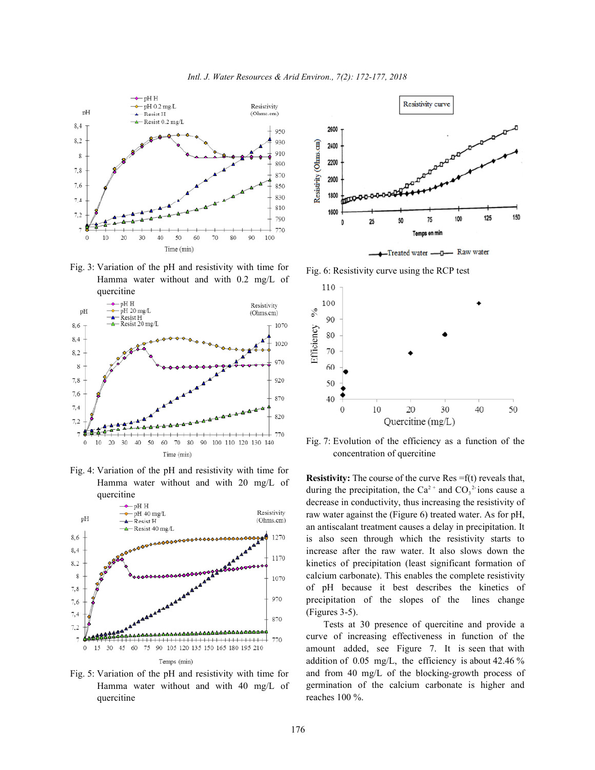

Fig. 3: Variation of the pH and resistivity with time for Hamma water without and with 0.2 mg/L of



Fig. 4: Variation of the pH and resistivity with time for Hamma water without and with 20 mg/L of quercitine



Fig. 5: Variation of the pH and resistivity with time for Hamma water without and with 40 mg/L of quercitine



Fig. 6: Resistivity curve using the RCP test



Fig. 7: Evolution of the efficiency as a function of the concentration of quercitine

**Resistivity:** The course of the curve Res =f(t) reveals that, during the precipitation, the Ca<sup>2+</sup> and CO<sub>3</sub><sup>2</sup> ions cause a decrease in conductivity, thus increasing the resistivity of raw water against the (Figure 6) treated water. As for pH, an antiscalant treatment causes a delay in precipitation. It is also seen through which the resistivity starts to increase after the raw water. It also slows down the kinetics of precipitation (least significant formation of calcium carbonate). This enables the complete resistivity of pH because it best describes the kinetics of precipitation of the slopes of the lines change (Figures 3-5).

Tests at 30 presence of quercitine and provide a curve of increasing effectiveness in function of the amount added, see Figure 7. It is seen that with addition of 0.05 mg/L, the efficiency is about 42.46 % and from 40 mg/L of the blocking-growth process of germination of the calcium carbonate is higher and reaches 100 %.